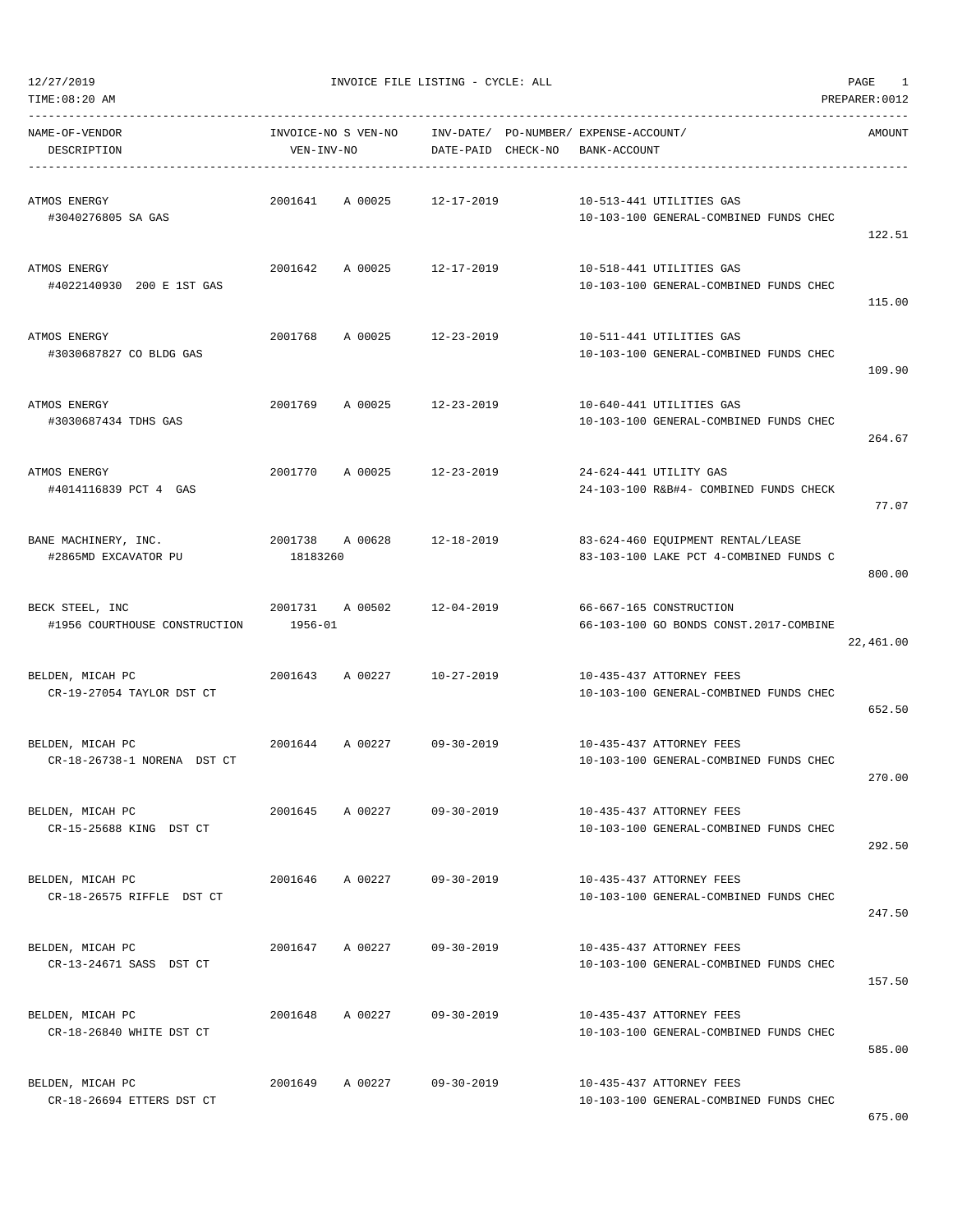| NAME-OF-VENDOR<br>DESCRIPTION                    | INVOICE-NO S VEN-NO<br>VEN-INV-NO |                    | INV-DATE/ PO-NUMBER/ EXPENSE-ACCOUNT/<br>DATE-PAID CHECK-NO BANK-ACCOUNT |  |                                                                             | AMOUNT    |
|--------------------------------------------------|-----------------------------------|--------------------|--------------------------------------------------------------------------|--|-----------------------------------------------------------------------------|-----------|
| ATMOS ENERGY<br>#3040276805 SA GAS               | 2001641                           | A 00025            | 12-17-2019                                                               |  | 10-513-441 UTILITIES GAS<br>10-103-100 GENERAL-COMBINED FUNDS CHEC          | 122.51    |
| ATMOS ENERGY<br>#4022140930 200 E 1ST GAS        | 2001642                           | A 00025 12-17-2019 |                                                                          |  | 10-518-441 UTILITIES GAS<br>10-103-100 GENERAL-COMBINED FUNDS CHEC          | 115.00    |
| ATMOS ENERGY<br>#3030687827 CO BLDG GAS          | 2001768                           | A 00025            | 12-23-2019                                                               |  | 10-511-441 UTILITIES GAS<br>10-103-100 GENERAL-COMBINED FUNDS CHEC          | 109.90    |
| ATMOS ENERGY<br>#3030687434 TDHS GAS             | 2001769                           | A 00025            | 12-23-2019                                                               |  | 10-640-441 UTILITIES GAS<br>10-103-100 GENERAL-COMBINED FUNDS CHEC          | 264.67    |
| ATMOS ENERGY<br>#4014116839 PCT 4 GAS            | 2001770                           | A 00025 12-23-2019 |                                                                          |  | 24-624-441 UTILITY GAS<br>24-103-100 R&B#4- COMBINED FUNDS CHECK            | 77.07     |
| BANE MACHINERY, INC.<br>#2865MD EXCAVATOR PU     | 2001738 A 00628<br>18183260       |                    | 12-18-2019                                                               |  | 83-624-460 EQUIPMENT RENTAL/LEASE<br>83-103-100 LAKE PCT 4-COMBINED FUNDS C | 800.00    |
| BECK STEEL, INC<br>#1956 COURTHOUSE CONSTRUCTION | 2001731<br>1956-01                | A 00502            | 12-04-2019                                                               |  | 66-667-165 CONSTRUCTION<br>66-103-100 GO BONDS CONST.2017-COMBINE           | 22,461.00 |
| BELDEN, MICAH PC<br>CR-19-27054 TAYLOR DST CT    |                                   | 2001643 A 00227    | 10-27-2019                                                               |  | 10-435-437 ATTORNEY FEES<br>10-103-100 GENERAL-COMBINED FUNDS CHEC          | 652.50    |
| BELDEN, MICAH PC<br>CR-18-26738-1 NORENA DST CT  | 2001644                           | A 00227            | 09-30-2019                                                               |  | 10-435-437 ATTORNEY FEES<br>10-103-100 GENERAL-COMBINED FUNDS CHEC          | 270.00    |
| BELDEN, MICAH PC<br>CR-15-25688 KING DST CT      | 2001645                           | A 00227            | $09 - 30 - 2019$                                                         |  | 10-435-437 ATTORNEY FEES<br>10-103-100 GENERAL-COMBINED FUNDS CHEC          | 292.50    |
| BELDEN, MICAH PC<br>CR-18-26575 RIFFLE DST CT    | 2001646                           | A 00227            | $09 - 30 - 2019$                                                         |  | 10-435-437 ATTORNEY FEES<br>10-103-100 GENERAL-COMBINED FUNDS CHEC          | 247.50    |
| BELDEN, MICAH PC<br>CR-13-24671 SASS DST CT      | 2001647                           | A 00227            | $09 - 30 - 2019$                                                         |  | 10-435-437 ATTORNEY FEES<br>10-103-100 GENERAL-COMBINED FUNDS CHEC          | 157.50    |
| BELDEN, MICAH PC<br>CR-18-26840 WHITE DST CT     | 2001648                           | A 00227            | $09 - 30 - 2019$                                                         |  | 10-435-437 ATTORNEY FEES<br>10-103-100 GENERAL-COMBINED FUNDS CHEC          | 585.00    |
| BELDEN, MICAH PC<br>CR-18-26694 ETTERS DST CT    | 2001649                           | A 00227            | $09 - 30 - 2019$                                                         |  | 10-435-437 ATTORNEY FEES<br>10-103-100 GENERAL-COMBINED FUNDS CHEC          |           |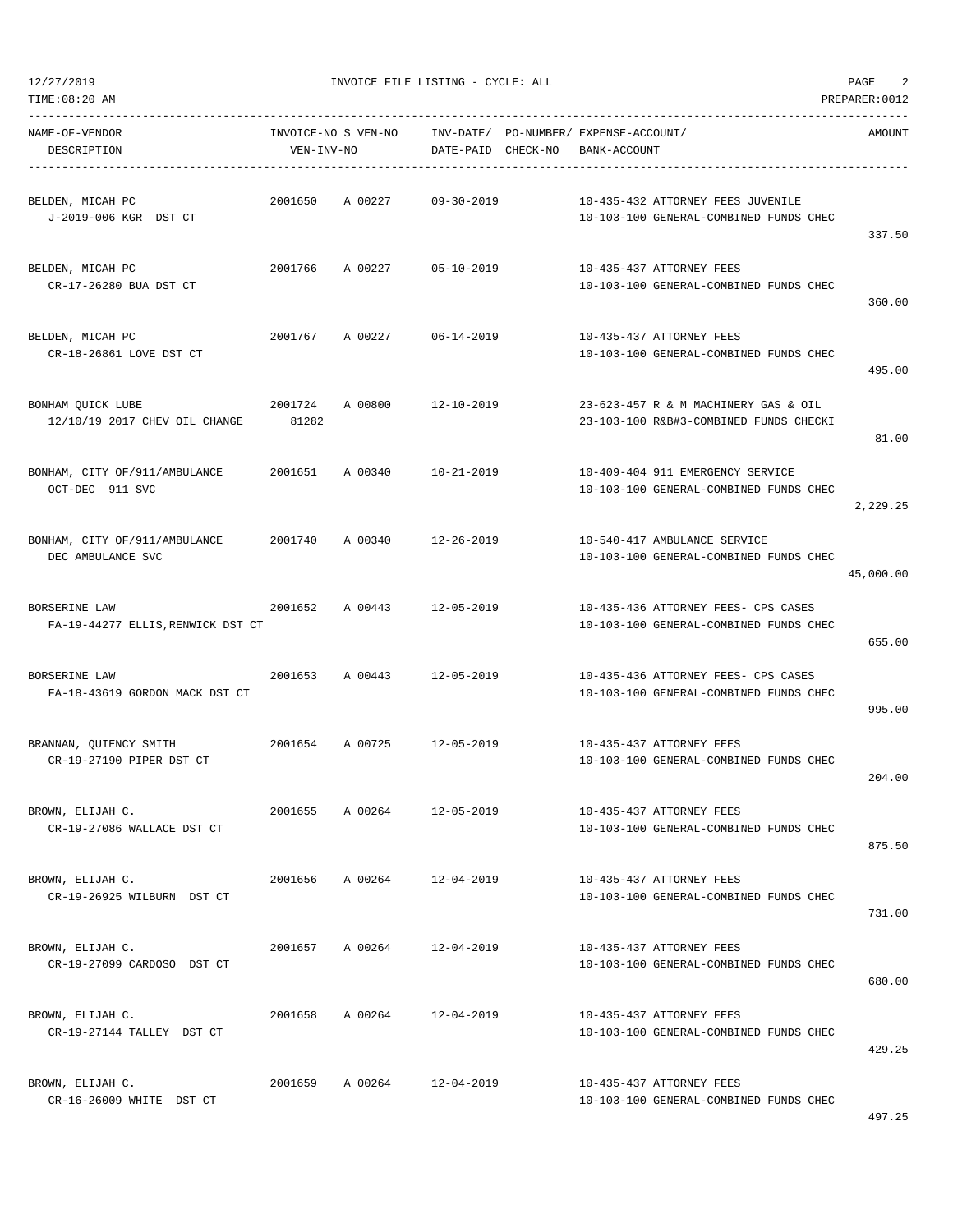| TIME:08:20 AM                                      |                                   |                    |                    |                                                       |                                                                                | PREPARER: 0012 |
|----------------------------------------------------|-----------------------------------|--------------------|--------------------|-------------------------------------------------------|--------------------------------------------------------------------------------|----------------|
| NAME-OF-VENDOR<br>DESCRIPTION                      | INVOICE-NO S VEN-NO<br>VEN-INV-NO |                    | DATE-PAID CHECK-NO | INV-DATE/ PO-NUMBER/ EXPENSE-ACCOUNT/<br>BANK-ACCOUNT |                                                                                | AMOUNT         |
| BELDEN, MICAH PC<br>J-2019-006 KGR DST CT          | 2001650                           | A 00227            | $09 - 30 - 2019$   |                                                       | 10-435-432 ATTORNEY FEES JUVENILE<br>10-103-100 GENERAL-COMBINED FUNDS CHEC    | 337.50         |
| BELDEN, MICAH PC<br>CR-17-26280 BUA DST CT         | 2001766                           | A 00227            | 05-10-2019         |                                                       | 10-435-437 ATTORNEY FEES<br>10-103-100 GENERAL-COMBINED FUNDS CHEC             | 360.00         |
| BELDEN, MICAH PC<br>CR-18-26861 LOVE DST CT        | 2001767                           | A 00227            | 06-14-2019         |                                                       | 10-435-437 ATTORNEY FEES<br>10-103-100 GENERAL-COMBINED FUNDS CHEC             | 495.00         |
| BONHAM QUICK LUBE<br>12/10/19 2017 CHEV OIL CHANGE | 2001724<br>81282                  | A 00800            | 12-10-2019         |                                                       | 23-623-457 R & M MACHINERY GAS & OIL<br>23-103-100 R&B#3-COMBINED FUNDS CHECKI | 81.00          |
| BONHAM, CITY OF/911/AMBULANCE<br>OCT-DEC 911 SVC   | 2001651                           | A 00340            | 10-21-2019         |                                                       | 10-409-404 911 EMERGENCY SERVICE<br>10-103-100 GENERAL-COMBINED FUNDS CHEC     | 2,229.25       |
| BONHAM, CITY OF/911/AMBULANCE<br>DEC AMBULANCE SVC | 2001740                           | A 00340            | 12-26-2019         |                                                       | 10-540-417 AMBULANCE SERVICE<br>10-103-100 GENERAL-COMBINED FUNDS CHEC         | 45,000.00      |
| BORSERINE LAW<br>FA-19-44277 ELLIS, RENWICK DST CT | 2001652                           | A 00443            | 12-05-2019         |                                                       | 10-435-436 ATTORNEY FEES- CPS CASES<br>10-103-100 GENERAL-COMBINED FUNDS CHEC  | 655.00         |
| BORSERINE LAW<br>FA-18-43619 GORDON MACK DST CT    | 2001653                           | A 00443            | 12-05-2019         |                                                       | 10-435-436 ATTORNEY FEES- CPS CASES<br>10-103-100 GENERAL-COMBINED FUNDS CHEC  | 995.00         |
| BRANNAN, QUIENCY SMITH<br>CR-19-27190 PIPER DST CT | 2001654                           | A 00725 12-05-2019 |                    |                                                       | 10-435-437 ATTORNEY FEES<br>10-103-100 GENERAL-COMBINED FUNDS CHEC             | 204.00         |
| BROWN, ELIJAH C.<br>CR-19-27086 WALLACE DST CT     | 2001655                           | A 00264            | 12-05-2019         |                                                       | 10-435-437 ATTORNEY FEES<br>10-103-100 GENERAL-COMBINED FUNDS CHEC             | 875.50         |
| BROWN, ELIJAH C.<br>CR-19-26925 WILBURN DST CT     |                                   | 2001656 A 00264    | 12-04-2019         |                                                       | 10-435-437 ATTORNEY FEES<br>10-103-100 GENERAL-COMBINED FUNDS CHEC             | 731.00         |
| BROWN, ELIJAH C.<br>CR-19-27099 CARDOSO DST CT     | 2001657                           | A 00264            | $12 - 04 - 2019$   |                                                       | 10-435-437 ATTORNEY FEES<br>10-103-100 GENERAL-COMBINED FUNDS CHEC             | 680.00         |
| BROWN, ELIJAH C.<br>CR-19-27144 TALLEY DST CT      | 2001658                           | A 00264            | 12-04-2019         |                                                       | 10-435-437 ATTORNEY FEES<br>10-103-100 GENERAL-COMBINED FUNDS CHEC             | 429.25         |
| BROWN, ELIJAH C.<br>CR-16-26009 WHITE DST CT       | 2001659                           | A 00264            | 12-04-2019         |                                                       | 10-435-437 ATTORNEY FEES<br>10-103-100 GENERAL-COMBINED FUNDS CHEC             |                |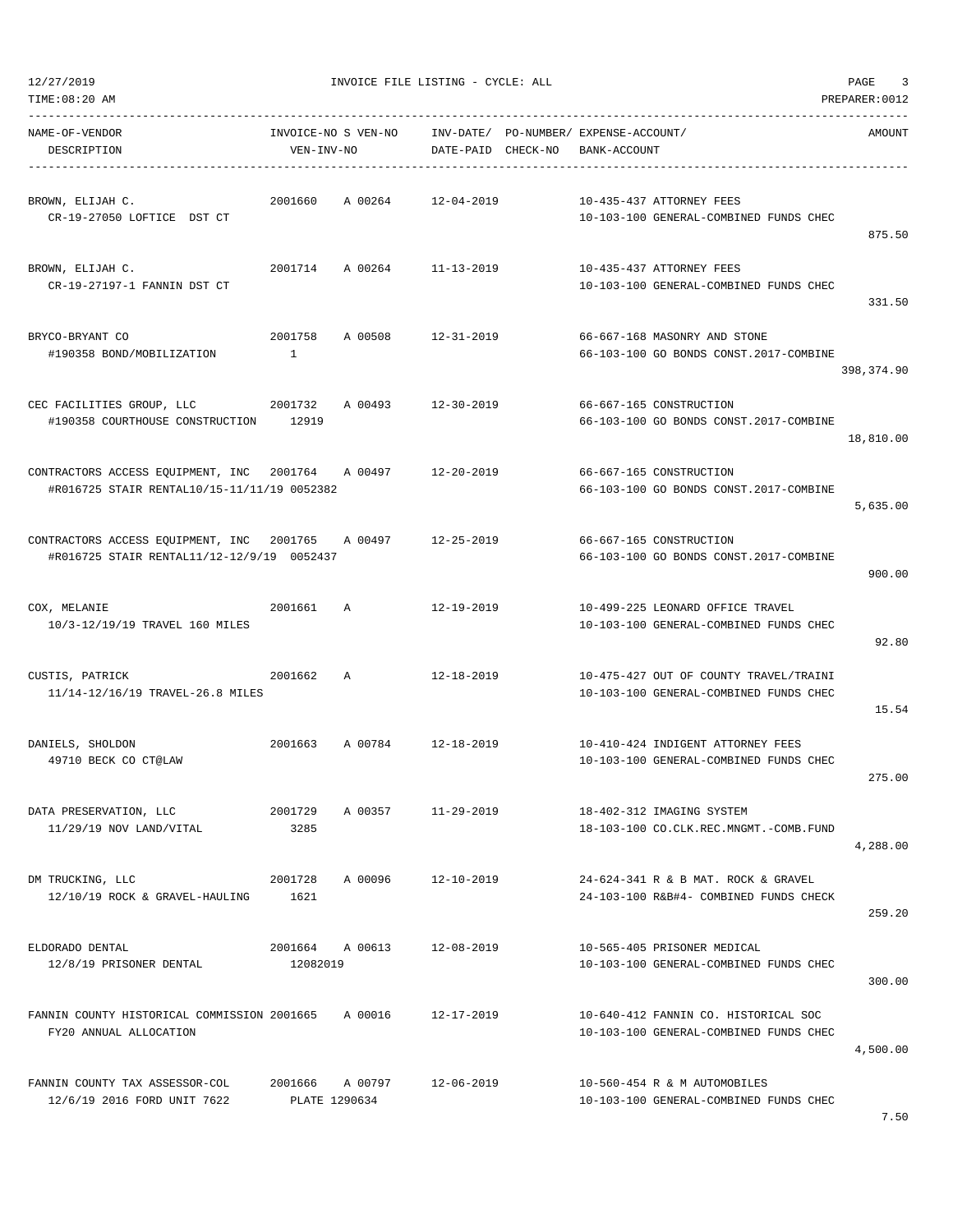| TIME:08:20 AM<br>PREPARER: 0012                                                          |                                   |         |                        |          |                                                                                  |            |  |  |
|------------------------------------------------------------------------------------------|-----------------------------------|---------|------------------------|----------|----------------------------------------------------------------------------------|------------|--|--|
| NAME-OF-VENDOR<br>DESCRIPTION                                                            | INVOICE-NO S VEN-NO<br>VEN-INV-NO |         | INV-DATE/<br>DATE-PAID | CHECK-NO | PO-NUMBER / EXPENSE-ACCOUNT /<br>BANK-ACCOUNT                                    | AMOUNT     |  |  |
| BROWN, ELIJAH C.<br>CR-19-27050 LOFTICE DST CT                                           | 2001660                           | A 00264 | $12 - 04 - 2019$       |          | 10-435-437 ATTORNEY FEES<br>10-103-100 GENERAL-COMBINED FUNDS CHEC               | 875.50     |  |  |
| BROWN, ELIJAH C.<br>CR-19-27197-1 FANNIN DST CT                                          | 2001714                           | A 00264 | 11-13-2019             |          | 10-435-437 ATTORNEY FEES<br>10-103-100 GENERAL-COMBINED FUNDS CHEC               | 331.50     |  |  |
| BRYCO-BRYANT CO<br>#190358 BOND/MOBILIZATION                                             | 2001758<br>$\mathbf{1}$           | A 00508 | $12 - 31 - 2019$       |          | 66-667-168 MASONRY AND STONE<br>66-103-100 GO BONDS CONST.2017-COMBINE           | 398,374.90 |  |  |
| CEC FACILITIES GROUP, LLC<br>#190358 COURTHOUSE CONSTRUCTION                             | 2001732<br>12919                  | A 00493 | $12 - 30 - 2019$       |          | 66-667-165 CONSTRUCTION<br>66-103-100 GO BONDS CONST.2017-COMBINE                | 18,810.00  |  |  |
| CONTRACTORS ACCESS EQUIPMENT, INC 2001764<br>#R016725 STAIR RENTAL10/15-11/11/19 0052382 |                                   | A 00497 | $12 - 20 - 2019$       |          | 66-667-165 CONSTRUCTION<br>66-103-100 GO BONDS CONST.2017-COMBINE                | 5,635.00   |  |  |
| CONTRACTORS ACCESS EQUIPMENT, INC<br>#R016725 STAIR RENTAL11/12-12/9/19 0052437          | 2001765                           | A 00497 | $12 - 25 - 2019$       |          | 66-667-165 CONSTRUCTION<br>66-103-100 GO BONDS CONST.2017-COMBINE                | 900.00     |  |  |
| COX, MELANIE<br>10/3-12/19/19 TRAVEL 160 MILES                                           | 2001661                           | Α       | $12 - 19 - 2019$       |          | 10-499-225 LEONARD OFFICE TRAVEL<br>10-103-100 GENERAL-COMBINED FUNDS CHEC       | 92.80      |  |  |
| CUSTIS, PATRICK<br>11/14-12/16/19 TRAVEL-26.8 MILES                                      | 2001662                           | Α       | $12 - 18 - 2019$       |          | 10-475-427 OUT OF COUNTY TRAVEL/TRAINI<br>10-103-100 GENERAL-COMBINED FUNDS CHEC | 15.54      |  |  |
| DANIELS, SHOLDON<br>49710 BECK CO CT@LAW                                                 | 2001663                           | A 00784 | $12 - 18 - 2019$       |          | 10-410-424 INDIGENT ATTORNEY FEES<br>10-103-100 GENERAL-COMBINED FUNDS CHEC      | 275.00     |  |  |
| DATA PRESERVATION, LLC<br>11/29/19 NOV LAND/VITAL                                        | 2001729<br>3285                   | A 00357 | $11 - 29 - 2019$       |          | 18-402-312 IMAGING SYSTEM<br>18-103-100 CO.CLK.REC.MNGMT.-COMB.FUND              | 4,288.00   |  |  |
| DM TRUCKING, LLC<br>12/10/19 ROCK & GRAVEL-HAULING                                       | 2001728<br>1621                   | A 00096 | $12 - 10 - 2019$       |          | 24-624-341 R & B MAT. ROCK & GRAVEL<br>24-103-100 R&B#4- COMBINED FUNDS CHECK    | 259.20     |  |  |
| ELDORADO DENTAL<br>12/8/19 PRISONER DENTAL                                               | 2001664<br>12082019               | A 00613 | $12 - 08 - 2019$       |          | 10-565-405 PRISONER MEDICAL<br>10-103-100 GENERAL-COMBINED FUNDS CHEC            | 300.00     |  |  |
| FANNIN COUNTY HISTORICAL COMMISSION 2001665<br>FY20 ANNUAL ALLOCATION                    |                                   | A 00016 | 12-17-2019             |          | 10-640-412 FANNIN CO. HISTORICAL SOC<br>10-103-100 GENERAL-COMBINED FUNDS CHEC   | 4,500.00   |  |  |
| FANNIN COUNTY TAX ASSESSOR-COL<br>12/6/19 2016 FORD UNIT 7622                            | 2001666<br>PLATE 1290634          | A 00797 | $12 - 06 - 2019$       |          | 10-560-454 R & M AUTOMOBILES<br>10-103-100 GENERAL-COMBINED FUNDS CHEC           |            |  |  |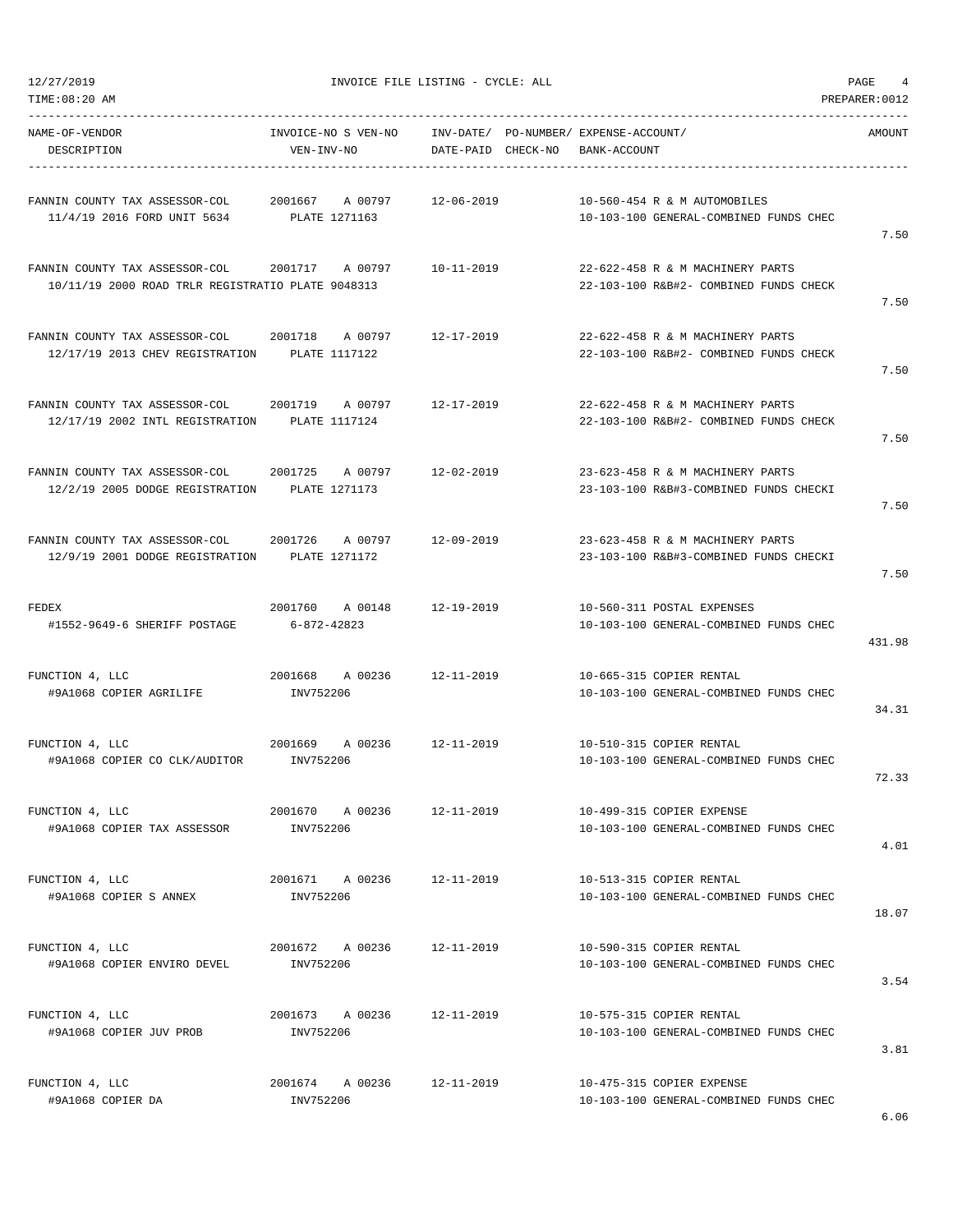TIME:08:20 AM PREPARER:0012

12/27/2019 INVOICE FILE LISTING - CYCLE: ALL PAGE 4

| VEN-INV-NO                                        |                                                                                                                  |                                                                                                                                                                                                                                                                                                                                             | AMOUNT                                                                                                                                                                                                                                                                                                                                                            |
|---------------------------------------------------|------------------------------------------------------------------------------------------------------------------|---------------------------------------------------------------------------------------------------------------------------------------------------------------------------------------------------------------------------------------------------------------------------------------------------------------------------------------------|-------------------------------------------------------------------------------------------------------------------------------------------------------------------------------------------------------------------------------------------------------------------------------------------------------------------------------------------------------------------|
|                                                   | 12-06-2019                                                                                                       |                                                                                                                                                                                                                                                                                                                                             |                                                                                                                                                                                                                                                                                                                                                                   |
|                                                   |                                                                                                                  |                                                                                                                                                                                                                                                                                                                                             | 7.50                                                                                                                                                                                                                                                                                                                                                              |
| FANNIN COUNTY TAX ASSESSOR-COL 2001717 A 00797    | $10 - 11 - 2019$                                                                                                 | 22-622-458 R & M MACHINERY PARTS                                                                                                                                                                                                                                                                                                            |                                                                                                                                                                                                                                                                                                                                                                   |
| 10/11/19 2000 ROAD TRLR REGISTRATIO PLATE 9048313 |                                                                                                                  | 22-103-100 R&B#2- COMBINED FUNDS CHECK                                                                                                                                                                                                                                                                                                      | 7.50                                                                                                                                                                                                                                                                                                                                                              |
|                                                   | 12-17-2019                                                                                                       | 22-622-458 R & M MACHINERY PARTS                                                                                                                                                                                                                                                                                                            |                                                                                                                                                                                                                                                                                                                                                                   |
| 12/17/19 2013 CHEV REGISTRATION PLATE 1117122     |                                                                                                                  | 22-103-100 R&B#2- COMBINED FUNDS CHECK                                                                                                                                                                                                                                                                                                      | 7.50                                                                                                                                                                                                                                                                                                                                                              |
|                                                   | 12-17-2019                                                                                                       | 22-622-458 R & M MACHINERY PARTS                                                                                                                                                                                                                                                                                                            |                                                                                                                                                                                                                                                                                                                                                                   |
| 12/17/19 2002 INTL REGISTRATION PLATE 1117124     |                                                                                                                  | 22-103-100 R&B#2- COMBINED FUNDS CHECK                                                                                                                                                                                                                                                                                                      | 7.50                                                                                                                                                                                                                                                                                                                                                              |
|                                                   | 12-02-2019                                                                                                       |                                                                                                                                                                                                                                                                                                                                             |                                                                                                                                                                                                                                                                                                                                                                   |
| 12/2/19 2005 DODGE REGISTRATION<br>PLATE 1271173  |                                                                                                                  | 23-103-100 R&B#3-COMBINED FUNDS CHECKI                                                                                                                                                                                                                                                                                                      | 7.50                                                                                                                                                                                                                                                                                                                                                              |
|                                                   |                                                                                                                  |                                                                                                                                                                                                                                                                                                                                             |                                                                                                                                                                                                                                                                                                                                                                   |
| 12/9/19 2001 DODGE REGISTRATION PLATE 1271172     |                                                                                                                  | 23-103-100 R&B#3-COMBINED FUNDS CHECKI                                                                                                                                                                                                                                                                                                      | 7.50                                                                                                                                                                                                                                                                                                                                                              |
|                                                   |                                                                                                                  |                                                                                                                                                                                                                                                                                                                                             |                                                                                                                                                                                                                                                                                                                                                                   |
| 6-872-42823                                       |                                                                                                                  | 10-103-100 GENERAL-COMBINED FUNDS CHEC                                                                                                                                                                                                                                                                                                      |                                                                                                                                                                                                                                                                                                                                                                   |
|                                                   |                                                                                                                  |                                                                                                                                                                                                                                                                                                                                             | 431.98                                                                                                                                                                                                                                                                                                                                                            |
| INV752206                                         |                                                                                                                  | 10-103-100 GENERAL-COMBINED FUNDS CHEC                                                                                                                                                                                                                                                                                                      |                                                                                                                                                                                                                                                                                                                                                                   |
|                                                   |                                                                                                                  |                                                                                                                                                                                                                                                                                                                                             | 34.31                                                                                                                                                                                                                                                                                                                                                             |
| #9A1068 COPIER CO CLK/AUDITOR INV752206           |                                                                                                                  | 10-103-100 GENERAL-COMBINED FUNDS CHEC                                                                                                                                                                                                                                                                                                      |                                                                                                                                                                                                                                                                                                                                                                   |
|                                                   |                                                                                                                  |                                                                                                                                                                                                                                                                                                                                             | 72.33                                                                                                                                                                                                                                                                                                                                                             |
| INV752206                                         |                                                                                                                  | 10-103-100 GENERAL-COMBINED FUNDS CHEC                                                                                                                                                                                                                                                                                                      |                                                                                                                                                                                                                                                                                                                                                                   |
|                                                   |                                                                                                                  |                                                                                                                                                                                                                                                                                                                                             | 4.01                                                                                                                                                                                                                                                                                                                                                              |
| INV752206                                         |                                                                                                                  | 10-513-315 COPIER RENTAL<br>10-103-100 GENERAL-COMBINED FUNDS CHEC                                                                                                                                                                                                                                                                          |                                                                                                                                                                                                                                                                                                                                                                   |
|                                                   |                                                                                                                  |                                                                                                                                                                                                                                                                                                                                             | 18.07                                                                                                                                                                                                                                                                                                                                                             |
| 2001672 A 00236<br>INV752206                      | 12-11-2019                                                                                                       | 10-590-315 COPIER RENTAL<br>10-103-100 GENERAL-COMBINED FUNDS CHEC                                                                                                                                                                                                                                                                          |                                                                                                                                                                                                                                                                                                                                                                   |
|                                                   |                                                                                                                  |                                                                                                                                                                                                                                                                                                                                             | 3.54                                                                                                                                                                                                                                                                                                                                                              |
| 2001673 A 00236<br>INV752206                      | 12-11-2019                                                                                                       | 10-575-315 COPIER RENTAL<br>10-103-100 GENERAL-COMBINED FUNDS CHEC                                                                                                                                                                                                                                                                          |                                                                                                                                                                                                                                                                                                                                                                   |
|                                                   |                                                                                                                  |                                                                                                                                                                                                                                                                                                                                             | 3.81                                                                                                                                                                                                                                                                                                                                                              |
| INV752206                                         |                                                                                                                  | 10-475-315 COPIER EXPENSE<br>10-103-100 GENERAL-COMBINED FUNDS CHEC                                                                                                                                                                                                                                                                         |                                                                                                                                                                                                                                                                                                                                                                   |
|                                                   | 11/4/19 2016 FORD UNIT 5634 PLATE 1271163<br>FANNIN COUNTY TAX ASSESSOR-COL  2001725  A 00797<br>2001670 A 00236 | FANNIN COUNTY TAX ASSESSOR-COL 2001667 A 00797<br>FANNIN COUNTY TAX ASSESSOR-COL  2001718  A 00797<br>FANNIN COUNTY TAX ASSESSOR-COL  2001719  A 00797<br>12-09-2019<br>2001760 A 00148 12-19-2019<br>2001668 A 00236<br>12-11-2019<br>2001669 A 00236 12-11-2019<br>12-11-2019<br>2001671 A 00236 12-11-2019<br>2001674 A 00236 12-11-2019 | INVOICE-NO S VEN-NO INV-DATE/ PO-NUMBER/ EXPENSE-ACCOUNT/<br>DATE-PAID CHECK-NO BANK-ACCOUNT<br>10-560-454 R & M AUTOMOBILES<br>10-103-100 GENERAL-COMBINED FUNDS CHEC<br>23-623-458 R & M MACHINERY PARTS<br>23-623-458 R & M MACHINERY PARTS<br>10-560-311 POSTAL EXPENSES<br>10-665-315 COPIER RENTAL<br>10-510-315 COPIER RENTAL<br>10-499-315 COPIER EXPENSE |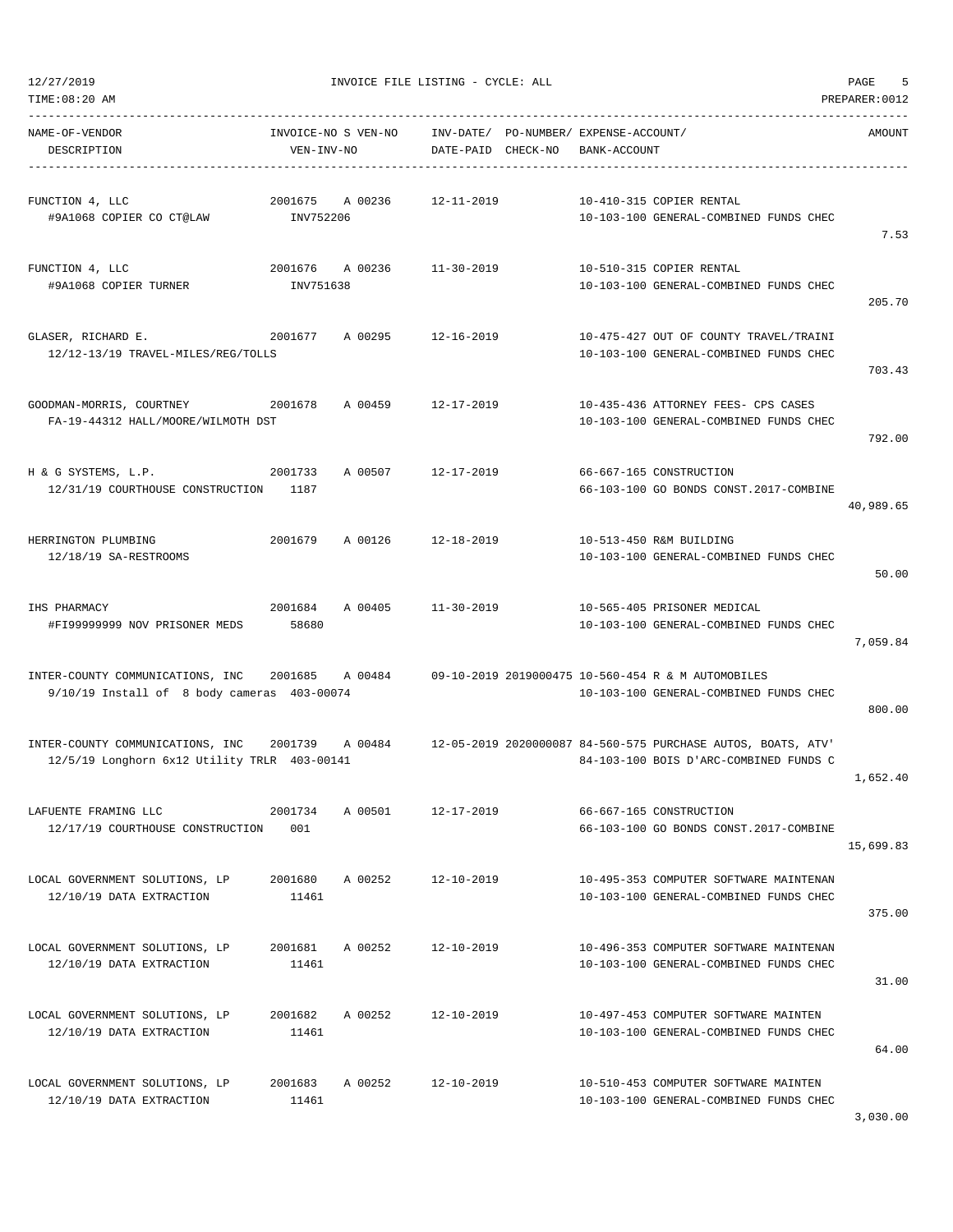| TIME:08:20 AM                                                                    |                                   |         |                    |                                                       |                                                                                                        | PREPARER: 0012 |
|----------------------------------------------------------------------------------|-----------------------------------|---------|--------------------|-------------------------------------------------------|--------------------------------------------------------------------------------------------------------|----------------|
| NAME-OF-VENDOR<br>DESCRIPTION                                                    | INVOICE-NO S VEN-NO<br>VEN-INV-NO |         | DATE-PAID CHECK-NO | INV-DATE/ PO-NUMBER/ EXPENSE-ACCOUNT/<br>BANK-ACCOUNT |                                                                                                        | AMOUNT         |
| FUNCTION 4, LLC<br>#9A1068 COPIER CO CT@LAW                                      | 2001675<br>INV752206              | A 00236 | $12 - 11 - 2019$   |                                                       | 10-410-315 COPIER RENTAL<br>10-103-100 GENERAL-COMBINED FUNDS CHEC                                     | 7.53           |
| FUNCTION 4, LLC<br>#9A1068 COPIER TURNER                                         | 2001676<br>INV751638              | A 00236 | 11-30-2019         |                                                       | 10-510-315 COPIER RENTAL<br>10-103-100 GENERAL-COMBINED FUNDS CHEC                                     | 205.70         |
| GLASER, RICHARD E.<br>12/12-13/19 TRAVEL-MILES/REG/TOLLS                         | 2001677                           | A 00295 | $12 - 16 - 2019$   |                                                       | 10-475-427 OUT OF COUNTY TRAVEL/TRAINI<br>10-103-100 GENERAL-COMBINED FUNDS CHEC                       | 703.43         |
| GOODMAN-MORRIS, COURTNEY<br>FA-19-44312 HALL/MOORE/WILMOTH DST                   | 2001678                           | A 00459 | $12 - 17 - 2019$   |                                                       | 10-435-436 ATTORNEY FEES- CPS CASES<br>10-103-100 GENERAL-COMBINED FUNDS CHEC                          | 792.00         |
| H & G SYSTEMS, L.P.<br>12/31/19 COURTHOUSE CONSTRUCTION                          | 2001733<br>1187                   | A 00507 | $12 - 17 - 2019$   |                                                       | 66-667-165 CONSTRUCTION<br>66-103-100 GO BONDS CONST.2017-COMBINE                                      | 40,989.65      |
| HERRINGTON PLUMBING<br>12/18/19 SA-RESTROOMS                                     | 2001679                           | A 00126 | $12 - 18 - 2019$   |                                                       | 10-513-450 R&M BUILDING<br>10-103-100 GENERAL-COMBINED FUNDS CHEC                                      | 50.00          |
| IHS PHARMACY<br>#FI99999999 NOV PRISONER MEDS                                    | 2001684<br>58680                  | A 00405 | $11 - 30 - 2019$   |                                                       | 10-565-405 PRISONER MEDICAL<br>10-103-100 GENERAL-COMBINED FUNDS CHEC                                  | 7,059.84       |
| INTER-COUNTY COMMUNICATIONS, INC<br>9/10/19 Install of 8 body cameras 403-00074  | 2001685                           | A 00484 |                    |                                                       | 09-10-2019 2019000475 10-560-454 R & M AUTOMOBILES<br>10-103-100 GENERAL-COMBINED FUNDS CHEC           | 800.00         |
| INTER-COUNTY COMMUNICATIONS, INC<br>12/5/19 Longhorn 6x12 Utility TRLR 403-00141 | 2001739                           | A 00484 |                    |                                                       | 12-05-2019 2020000087 84-560-575 PURCHASE AUTOS, BOATS, ATV'<br>84-103-100 BOIS D'ARC-COMBINED FUNDS C | 1,652.40       |
| LAFUENTE FRAMING LLC<br>12/17/19 COURTHOUSE CONSTRUCTION                         | 2001734<br>001                    | A 00501 | $12 - 17 - 2019$   |                                                       | 66-667-165 CONSTRUCTION<br>66-103-100 GO BONDS CONST.2017-COMBINE                                      | 15,699.83      |
| LOCAL GOVERNMENT SOLUTIONS, LP<br>12/10/19 DATA EXTRACTION                       | 2001680<br>11461                  | A 00252 | 12-10-2019         |                                                       | 10-495-353 COMPUTER SOFTWARE MAINTENAN<br>10-103-100 GENERAL-COMBINED FUNDS CHEC                       | 375.00         |
| LOCAL GOVERNMENT SOLUTIONS, LP<br>12/10/19 DATA EXTRACTION                       | 2001681<br>11461                  | A 00252 | $12 - 10 - 2019$   |                                                       | 10-496-353 COMPUTER SOFTWARE MAINTENAN<br>10-103-100 GENERAL-COMBINED FUNDS CHEC                       | 31.00          |
| LOCAL GOVERNMENT SOLUTIONS, LP<br>12/10/19 DATA EXTRACTION                       | 2001682<br>11461                  | A 00252 | $12 - 10 - 2019$   |                                                       | 10-497-453 COMPUTER SOFTWARE MAINTEN<br>10-103-100 GENERAL-COMBINED FUNDS CHEC                         | 64.00          |
| LOCAL GOVERNMENT SOLUTIONS, LP<br>12/10/19 DATA EXTRACTION                       | 2001683<br>11461                  | A 00252 | $12 - 10 - 2019$   |                                                       | 10-510-453 COMPUTER SOFTWARE MAINTEN<br>10-103-100 GENERAL-COMBINED FUNDS CHEC                         |                |

3,030.00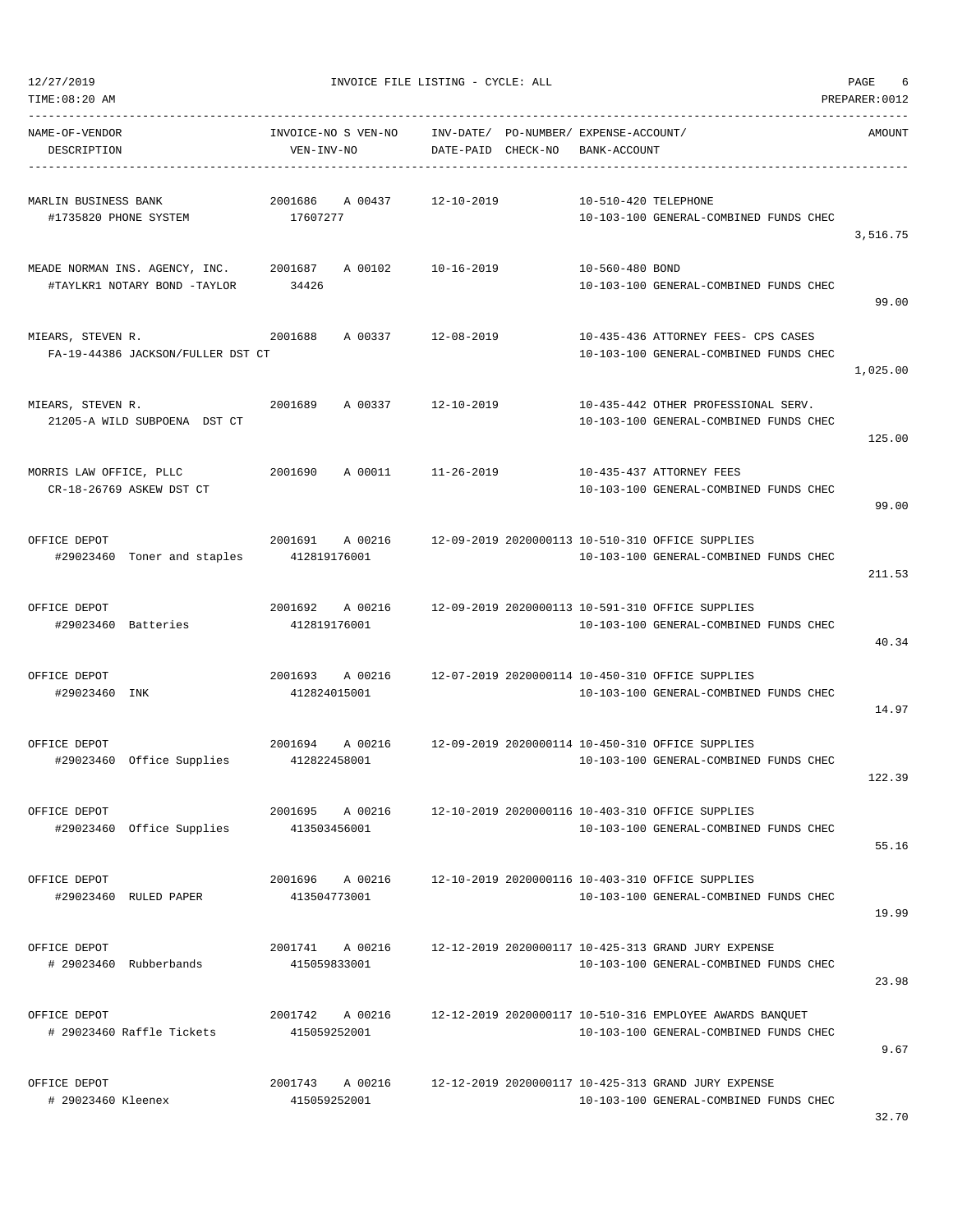|  | 12/27/2019 |  |
|--|------------|--|
|  |            |  |

| NAME-OF-VENDOR<br>DESCRIPTION                                          | INVOICE-NO S VEN-NO<br>VEN-INV-NO  | DATE-PAID CHECK-NO | INV-DATE/ PO-NUMBER/ EXPENSE-ACCOUNT/<br>BANK-ACCOUNT                                              | AMOUNT   |
|------------------------------------------------------------------------|------------------------------------|--------------------|----------------------------------------------------------------------------------------------------|----------|
| MARLIN BUSINESS BANK<br>#1735820 PHONE SYSTEM                          | 2001686<br>A 00437<br>17607277     | 12-10-2019         | 10-510-420 TELEPHONE<br>10-103-100 GENERAL-COMBINED FUNDS CHEC                                     | 3,516.75 |
| MEADE NORMAN INS. AGENCY, INC. 2001687<br>#TAYLKR1 NOTARY BOND -TAYLOR | 34426                              | A 00102 10-16-2019 | 10-560-480 BOND<br>10-103-100 GENERAL-COMBINED FUNDS CHEC                                          | 99.00    |
| MIEARS, STEVEN R.<br>FA-19-44386 JACKSON/FULLER DST CT                 | 2001688<br>A 00337 12-08-2019      |                    | 10-435-436 ATTORNEY FEES- CPS CASES<br>10-103-100 GENERAL-COMBINED FUNDS CHEC                      | 1,025.00 |
| MIEARS, STEVEN R.<br>21205-A WILD SUBPOENA DST CT                      | 2001689<br>A 00337                 | 12-10-2019         | 10-435-442 OTHER PROFESSIONAL SERV.<br>10-103-100 GENERAL-COMBINED FUNDS CHEC                      | 125.00   |
| MORRIS LAW OFFICE, PLLC<br>CR-18-26769 ASKEW DST CT                    | 2001690<br>A 00011 11-26-2019      |                    | 10-435-437 ATTORNEY FEES<br>10-103-100 GENERAL-COMBINED FUNDS CHEC                                 | 99.00    |
| OFFICE DEPOT<br>#29023460 Toner and staples 412819176001               | 2001691<br>A 00216                 |                    | 12-09-2019 2020000113 10-510-310 OFFICE SUPPLIES<br>10-103-100 GENERAL-COMBINED FUNDS CHEC         | 211.53   |
| OFFICE DEPOT<br>#29023460 Batteries                                    | 2001692 A 00216<br>412819176001    |                    | 12-09-2019 2020000113 10-591-310 OFFICE SUPPLIES<br>10-103-100 GENERAL-COMBINED FUNDS CHEC         | 40.34    |
| OFFICE DEPOT<br>#29023460 INK                                          | 2001693 A 00216<br>412824015001    |                    | 12-07-2019 2020000114 10-450-310 OFFICE SUPPLIES<br>10-103-100 GENERAL-COMBINED FUNDS CHEC         | 14.97    |
| OFFICE DEPOT<br>#29023460 Office Supplies 412822458001                 | 2001694                            |                    | A 00216 12-09-2019 2020000114 10-450-310 OFFICE SUPPLIES<br>10-103-100 GENERAL-COMBINED FUNDS CHEC | 122.39   |
| OFFICE DEPOT<br>#29023460 Office Supplies                              | 2001695<br>A 00216<br>413503456001 |                    | 12-10-2019 2020000116 10-403-310 OFFICE SUPPLIES<br>10-103-100 GENERAL-COMBINED FUNDS CHEC         | 55.16    |
| OFFICE DEPOT<br>#29023460 RULED PAPER                                  | 2001696 A 00216<br>413504773001    |                    | 12-10-2019 2020000116 10-403-310 OFFICE SUPPLIES<br>10-103-100 GENERAL-COMBINED FUNDS CHEC         | 19.99    |
| OFFICE DEPOT<br># 29023460 Rubberbands                                 | 2001741 A 00216<br>415059833001    |                    | 12-12-2019 2020000117 10-425-313 GRAND JURY EXPENSE<br>10-103-100 GENERAL-COMBINED FUNDS CHEC      | 23.98    |
| OFFICE DEPOT<br># 29023460 Raffle Tickets                              | 2001742<br>A 00216<br>415059252001 |                    | 12-12-2019 2020000117 10-510-316 EMPLOYEE AWARDS BANQUET<br>10-103-100 GENERAL-COMBINED FUNDS CHEC | 9.67     |
| OFFICE DEPOT<br># 29023460 Kleenex                                     | 2001743<br>A 00216<br>415059252001 |                    | 12-12-2019 2020000117 10-425-313 GRAND JURY EXPENSE<br>10-103-100 GENERAL-COMBINED FUNDS CHEC      |          |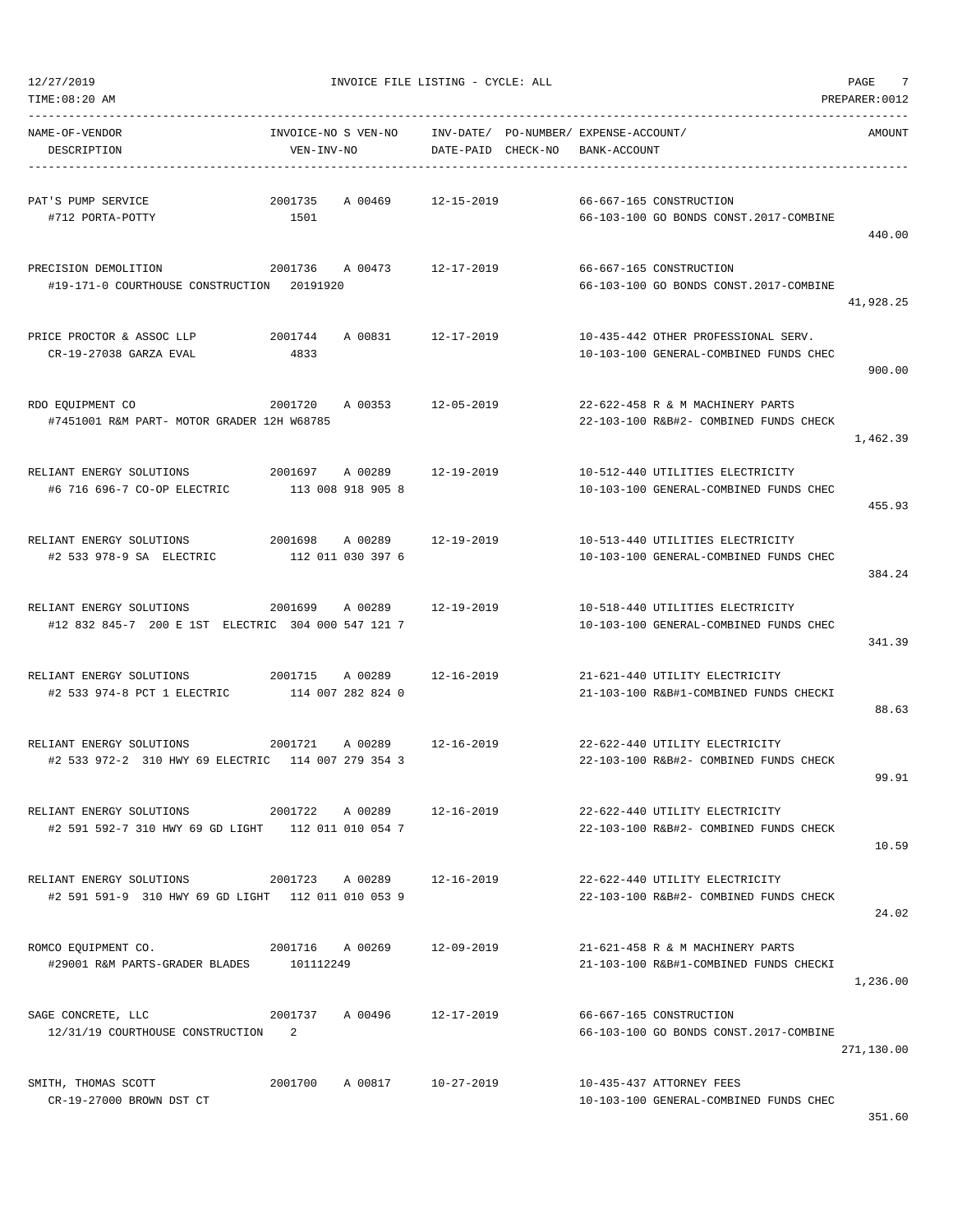| TIME:08:20 AM                                          |                     |                            |                    |                                       |                                        | PREPARER: 0012 |
|--------------------------------------------------------|---------------------|----------------------------|--------------------|---------------------------------------|----------------------------------------|----------------|
| NAME-OF-VENDOR                                         | INVOICE-NO S VEN-NO |                            |                    | INV-DATE/ PO-NUMBER/ EXPENSE-ACCOUNT/ |                                        | AMOUNT         |
| DESCRIPTION                                            | VEN-INV-NO          |                            | DATE-PAID CHECK-NO | BANK-ACCOUNT                          |                                        |                |
| PAT'S PUMP SERVICE                                     | 2001735             | A 00469                    | 12-15-2019         |                                       | 66-667-165 CONSTRUCTION                |                |
| #712 PORTA-POTTY                                       | 1501                |                            |                    |                                       | 66-103-100 GO BONDS CONST.2017-COMBINE |                |
|                                                        |                     |                            |                    |                                       |                                        | 440.00         |
| PRECISION DEMOLITION                                   | 2001736             | A 00473                    | 12-17-2019         |                                       | 66-667-165 CONSTRUCTION                |                |
| #19-171-0 COURTHOUSE CONSTRUCTION 20191920             |                     |                            |                    |                                       | 66-103-100 GO BONDS CONST.2017-COMBINE |                |
|                                                        |                     |                            |                    |                                       |                                        | 41,928.25      |
| PRICE PROCTOR & ASSOC LLP                              | 2001744             | A 00831                    | 12-17-2019         |                                       | 10-435-442 OTHER PROFESSIONAL SERV.    |                |
| CR-19-27038 GARZA EVAL                                 | 4833                |                            |                    |                                       | 10-103-100 GENERAL-COMBINED FUNDS CHEC |                |
|                                                        |                     |                            |                    |                                       |                                        | 900.00         |
| RDO EQUIPMENT CO                                       | 2001720             | A 00353                    | 12-05-2019         |                                       | 22-622-458 R & M MACHINERY PARTS       |                |
| #7451001 R&M PART- MOTOR GRADER 12H W68785             |                     |                            |                    |                                       | 22-103-100 R&B#2- COMBINED FUNDS CHECK |                |
|                                                        |                     |                            |                    |                                       |                                        | 1,462.39       |
| RELIANT ENERGY SOLUTIONS 2001697                       |                     | A 00289 12-19-2019         |                    |                                       | 10-512-440 UTILITIES ELECTRICITY       |                |
| #6 716 696-7 CO-OP ELECTRIC                            |                     | 113 008 918 905 8          |                    |                                       | 10-103-100 GENERAL-COMBINED FUNDS CHEC |                |
|                                                        |                     |                            |                    |                                       |                                        | 455.93         |
| RELIANT ENERGY SOLUTIONS                               | 2001698             | A 00289                    | 12-19-2019         |                                       | 10-513-440 UTILITIES ELECTRICITY       |                |
| #2 533 978-9 SA ELECTRIC                               |                     | 112 011 030 397 6          |                    |                                       | 10-103-100 GENERAL-COMBINED FUNDS CHEC |                |
|                                                        |                     |                            |                    |                                       |                                        | 384.24         |
| RELIANT ENERGY SOLUTIONS                               | 2001699             | A 00289                    | 12-19-2019         |                                       | 10-518-440 UTILITIES ELECTRICITY       |                |
| #12 832 845-7 200 E 1ST ELECTRIC 304 000 547 121 7     |                     |                            |                    |                                       | 10-103-100 GENERAL-COMBINED FUNDS CHEC |                |
|                                                        |                     |                            |                    |                                       |                                        | 341.39         |
| RELIANT ENERGY SOLUTIONS 2001715                       |                     | A 00289                    | 12-16-2019         |                                       | 21-621-440 UTILITY ELECTRICITY         |                |
| #2 533 974-8 PCT 1 ELECTRIC                            |                     | 114 007 282 824 0          |                    |                                       | 21-103-100 R&B#1-COMBINED FUNDS CHECKI |                |
|                                                        |                     |                            |                    |                                       |                                        | 88.63          |
| RELIANT ENERGY SOLUTIONS                               | 2001721             | A 00289                    | 12-16-2019         |                                       | 22-622-440 UTILITY ELECTRICITY         |                |
| #2 533 972-2 310 HWY 69 ELECTRIC 114 007 279 354 3     |                     |                            |                    |                                       | 22-103-100 R&B#2- COMBINED FUNDS CHECK |                |
|                                                        |                     |                            |                    |                                       |                                        | 99.91          |
| RELIANT ENERGY SOLUTIONS                               |                     | 2001722 A 00289            | 12-16-2019         |                                       | 22-622-440 UTILITY ELECTRICITY         |                |
| #2 591 592-7 310 HWY 69 GD LIGHT 112 011 010 054 7     |                     |                            |                    |                                       | 22-103-100 R&B#2- COMBINED FUNDS CHECK |                |
|                                                        |                     |                            |                    |                                       |                                        | 10.59          |
| RELIANT ENERGY SOLUTIONS  2001723  A 00289  12-16-2019 |                     |                            |                    |                                       | 22-622-440 UTILITY ELECTRICITY         |                |
| #2 591 591-9 310 HWY 69 GD LIGHT 112 011 010 053 9     |                     |                            |                    |                                       | 22-103-100 R&B#2- COMBINED FUNDS CHECK |                |
|                                                        |                     |                            |                    |                                       |                                        | 24.02          |
| ROMCO EQUIPMENT CO. 2001716 A 00269 12-09-2019         |                     |                            |                    |                                       | 21-621-458 R & M MACHINERY PARTS       |                |
| #29001 R&M PARTS-GRADER BLADES 101112249               |                     |                            |                    |                                       | 21-103-100 R&B#1-COMBINED FUNDS CHECKI |                |
|                                                        |                     |                            |                    |                                       |                                        | 1,236.00       |
| SAGE CONCRETE, LLC                                     |                     | 2001737 A 00496 12-17-2019 |                    |                                       | 66-667-165 CONSTRUCTION                |                |
| 12/31/19 COURTHOUSE CONSTRUCTION 2                     |                     |                            |                    |                                       | 66-103-100 GO BONDS CONST.2017-COMBINE |                |
|                                                        |                     |                            |                    |                                       |                                        | 271,130.00     |
| SMITH, THOMAS SCOTT                                    |                     | 2001700 A 00817            | 10-27-2019         |                                       | 10-435-437 ATTORNEY FEES               |                |
| CR-19-27000 BROWN DST CT                               |                     |                            |                    |                                       | 10-103-100 GENERAL-COMBINED FUNDS CHEC |                |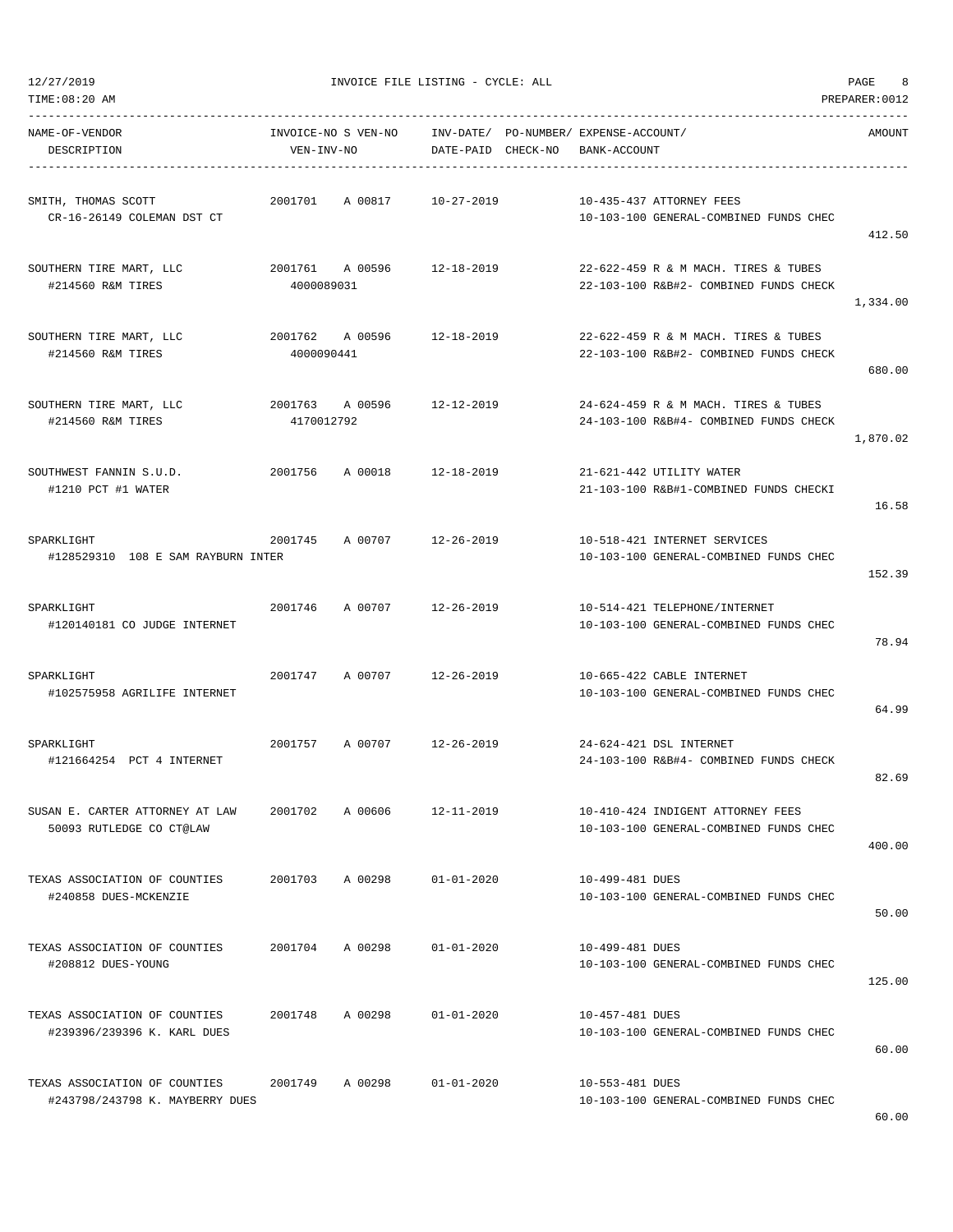TIME:08:20 AM PREPARER:0012

12/27/2019 INVOICE FILE LISTING - CYCLE: ALL PAGE 8

| NAME-OF-VENDOR<br>DESCRIPTION                                    | VEN-INV-NO      | INVOICE-NO S VEN-NO INV-DATE/ PO-NUMBER/ EXPENSE-ACCOUNT/ | DATE-PAID CHECK-NO BANK-ACCOUNT |                 |                                                                                | AMOUNT   |
|------------------------------------------------------------------|-----------------|-----------------------------------------------------------|---------------------------------|-----------------|--------------------------------------------------------------------------------|----------|
| SMITH, THOMAS SCOTT<br>CR-16-26149 COLEMAN DST CT                |                 | 2001701 A 00817 10-27-2019                                |                                 |                 | 10-435-437 ATTORNEY FEES<br>10-103-100 GENERAL-COMBINED FUNDS CHEC             | 412.50   |
| SOUTHERN TIRE MART, LLC<br>#214560 R&M TIRES                     | 4000089031      | 2001761 A 00596 12-18-2019                                |                                 |                 | 22-622-459 R & M MACH. TIRES & TUBES<br>22-103-100 R&B#2- COMBINED FUNDS CHECK | 1,334.00 |
| SOUTHERN TIRE MART, LLC<br>#214560 R&M TIRES                     | 4000090441      | 2001762 A 00596 12-18-2019                                |                                 |                 | 22-622-459 R & M MACH. TIRES & TUBES<br>22-103-100 R&B#2- COMBINED FUNDS CHECK | 680.00   |
| SOUTHERN TIRE MART, LLC<br>#214560 R&M TIRES                     | 4170012792      | 2001763 A 00596 12-12-2019                                |                                 |                 | 24-624-459 R & M MACH. TIRES & TUBES<br>24-103-100 R&B#4- COMBINED FUNDS CHECK | 1,870.02 |
| SOUTHWEST FANNIN S.U.D.<br>#1210 PCT #1 WATER                    |                 | 2001756 A 00018 12-18-2019                                |                                 |                 | 21-621-442 UTILITY WATER<br>21-103-100 R&B#1-COMBINED FUNDS CHECKI             | 16.58    |
| SPARKLIGHT<br>#128529310 108 E SAM RAYBURN INTER                 |                 | 2001745 A00707 12-26-2019                                 |                                 |                 | 10-518-421 INTERNET SERVICES<br>10-103-100 GENERAL-COMBINED FUNDS CHEC         | 152.39   |
| SPARKLIGHT<br>#120140181 CO JUDGE INTERNET                       |                 | 2001746 A 00707 12-26-2019                                |                                 |                 | 10-514-421 TELEPHONE/INTERNET<br>10-103-100 GENERAL-COMBINED FUNDS CHEC        | 78.94    |
| SPARKLIGHT<br>#102575958 AGRILIFE INTERNET                       |                 | 2001747 A 00707 12-26-2019                                |                                 |                 | 10-665-422 CABLE INTERNET<br>10-103-100 GENERAL-COMBINED FUNDS CHEC            | 64.99    |
| SPARKLIGHT<br>#121664254 PCT 4 INTERNET                          |                 | 2001757 A 00707 12-26-2019                                |                                 |                 | 24-624-421 DSL INTERNET<br>24-103-100 R&B#4- COMBINED FUNDS CHECK              | 82.69    |
| SUSAN E. CARTER ATTORNEY AT LAW<br>50093 RUTLEDGE CO CT@LAW      | 2001702 A 00606 |                                                           | 12-11-2019                      |                 | 10-410-424 INDIGENT ATTORNEY FEES<br>10-103-100 GENERAL-COMBINED FUNDS CHEC    | 400.00   |
| TEXAS ASSOCIATION OF COUNTIES<br>#240858 DUES-MCKENZIE           | 2001703         | A 00298                                                   | $01 - 01 - 2020$                | 10-499-481 DUES | 10-103-100 GENERAL-COMBINED FUNDS CHEC                                         | 50.00    |
| TEXAS ASSOCIATION OF COUNTIES<br>#208812 DUES-YOUNG              | 2001704         | A 00298                                                   | $01 - 01 - 2020$                | 10-499-481 DUES | 10-103-100 GENERAL-COMBINED FUNDS CHEC                                         | 125.00   |
| TEXAS ASSOCIATION OF COUNTIES<br>#239396/239396 K. KARL DUES     | 2001748         | A 00298                                                   | $01 - 01 - 2020$                | 10-457-481 DUES | 10-103-100 GENERAL-COMBINED FUNDS CHEC                                         | 60.00    |
| TEXAS ASSOCIATION OF COUNTIES<br>#243798/243798 K. MAYBERRY DUES | 2001749         | A 00298                                                   | $01 - 01 - 2020$                | 10-553-481 DUES | 10-103-100 GENERAL-COMBINED FUNDS CHEC                                         |          |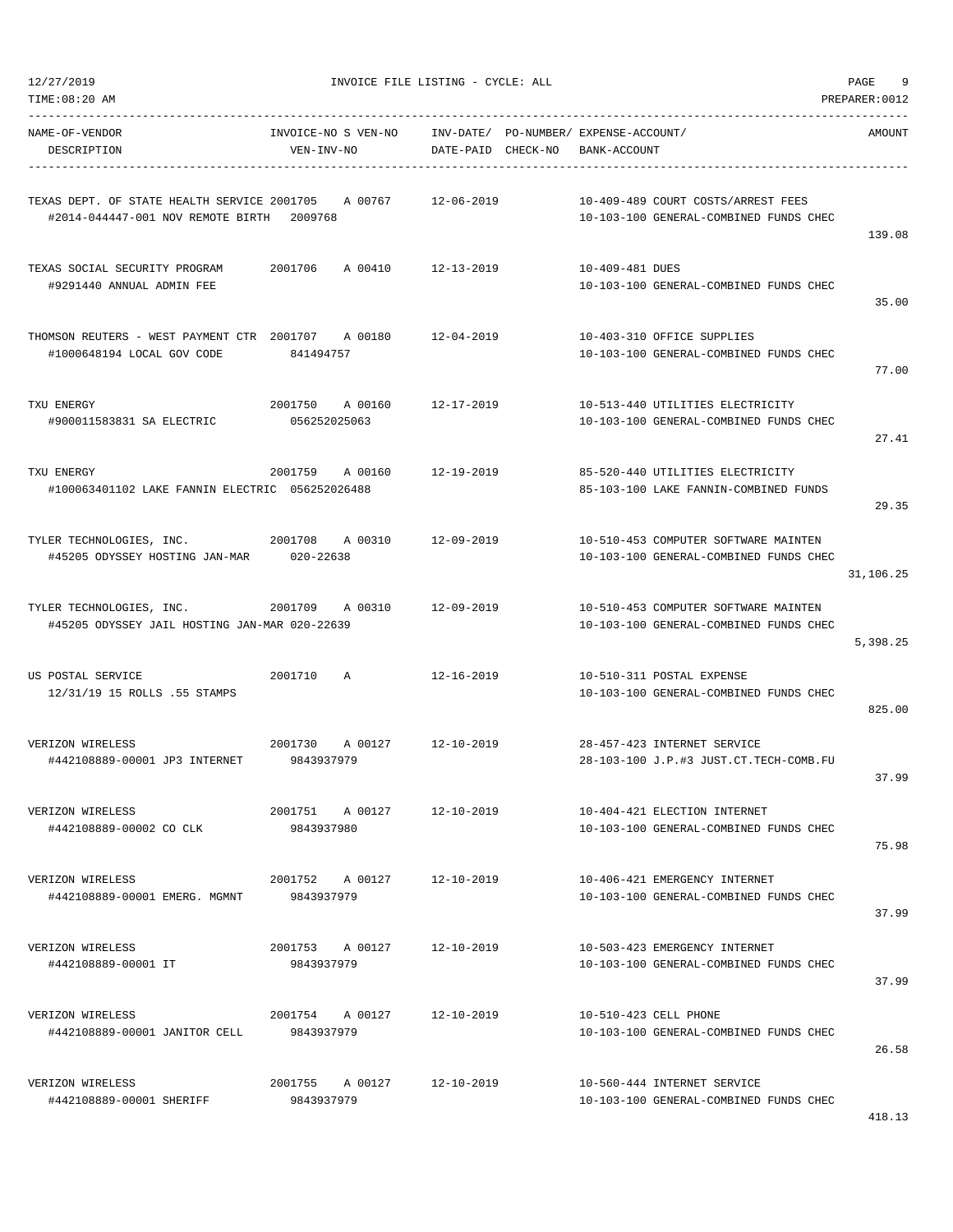| NAME-OF-VENDOR<br>DESCRIPTION                                                                    | INVOICE-NO S VEN-NO INV-DATE/ PO-NUMBER/ EXPENSE-ACCOUNT/<br>VEN-INV-NO | DATE-PAID CHECK-NO | BANK-ACCOUNT                                                                   | AMOUNT    |
|--------------------------------------------------------------------------------------------------|-------------------------------------------------------------------------|--------------------|--------------------------------------------------------------------------------|-----------|
| TEXAS DEPT. OF STATE HEALTH SERVICE 2001705 A 00767<br>#2014-044447-001 NOV REMOTE BIRTH 2009768 |                                                                         | 12-06-2019         | 10-409-489 COURT COSTS/ARREST FEES<br>10-103-100 GENERAL-COMBINED FUNDS CHEC   | 139.08    |
| TEXAS SOCIAL SECURITY PROGRAM<br>#9291440 ANNUAL ADMIN FEE                                       | 2001706 A 00410 12-13-2019                                              |                    | 10-409-481 DUES<br>10-103-100 GENERAL-COMBINED FUNDS CHEC                      | 35.00     |
| THOMSON REUTERS - WEST PAYMENT CTR 2001707 A 00180<br>#1000648194 LOCAL GOV CODE                 | 841494757                                                               | $12 - 04 - 2019$   | 10-403-310 OFFICE SUPPLIES<br>10-103-100 GENERAL-COMBINED FUNDS CHEC           | 77.00     |
| TXU ENERGY<br>#900011583831 SA ELECTRIC                                                          | 2001750<br>A 00160<br>056252025063                                      | 12-17-2019         | 10-513-440 UTILITIES ELECTRICITY<br>10-103-100 GENERAL-COMBINED FUNDS CHEC     | 27.41     |
| TXU ENERGY<br>#100063401102 LAKE FANNIN ELECTRIC 056252026488                                    | 2001759 A 00160                                                         | 12-19-2019         | 85-520-440 UTILITIES ELECTRICITY<br>85-103-100 LAKE FANNIN-COMBINED FUNDS      | 29.35     |
| TYLER TECHNOLOGIES, INC. 2001708 A 00310 12-09-2019<br>#45205 ODYSSEY HOSTING JAN-MAR 020-22638  |                                                                         |                    | 10-510-453 COMPUTER SOFTWARE MAINTEN<br>10-103-100 GENERAL-COMBINED FUNDS CHEC | 31,106.25 |
| TYLER TECHNOLOGIES, INC.<br>#45205 ODYSSEY JAIL HOSTING JAN-MAR 020-22639                        | 2001709 A 00310 12-09-2019                                              |                    | 10-510-453 COMPUTER SOFTWARE MAINTEN<br>10-103-100 GENERAL-COMBINED FUNDS CHEC | 5,398.25  |
| US POSTAL SERVICE<br>12/31/19 15 ROLLS .55 STAMPS                                                | 2001710<br>A                                                            | 12-16-2019         | 10-510-311 POSTAL EXPENSE<br>10-103-100 GENERAL-COMBINED FUNDS CHEC            | 825.00    |
| VERIZON WIRELESS<br>#442108889-00001 JP3 INTERNET 9843937979                                     | 2001730 A 00127 12-10-2019                                              |                    | 28-457-423 INTERNET SERVICE<br>28-103-100 J.P.#3 JUST.CT.TECH-COMB.FU          | 37.99     |
| VERIZON WIRELESS<br>#442108889-00002 CO CLK                                                      | 2001751<br>A 00127<br>9843937980                                        | $12 - 10 - 2019$   | 10-404-421 ELECTION INTERNET<br>10-103-100 GENERAL-COMBINED FUNDS CHEC         | 75.98     |
| VERIZON WIRELESS<br>#442108889-00001 EMERG. MGMNT                                                | 2001752 A 00127<br>9843937979                                           | 12-10-2019         | 10-406-421 EMERGENCY INTERNET<br>10-103-100 GENERAL-COMBINED FUNDS CHEC        | 37.99     |
| VERIZON WIRELESS<br>#442108889-00001 IT                                                          | 2001753 A 00127<br>9843937979                                           | 12-10-2019         | 10-503-423 EMERGENCY INTERNET<br>10-103-100 GENERAL-COMBINED FUNDS CHEC        | 37.99     |
| VERIZON WIRELESS<br>#442108889-00001 JANITOR CELL                                                | 2001754 A 00127<br>9843937979                                           | 12-10-2019         | 10-510-423 CELL PHONE<br>10-103-100 GENERAL-COMBINED FUNDS CHEC                | 26.58     |
| VERIZON WIRELESS<br>#442108889-00001 SHERIFF                                                     | 2001755 A 00127<br>9843937979                                           | $12 - 10 - 2019$   | 10-560-444 INTERNET SERVICE<br>10-103-100 GENERAL-COMBINED FUNDS CHEC          |           |

TIME:08:20 AM PREPARER:0012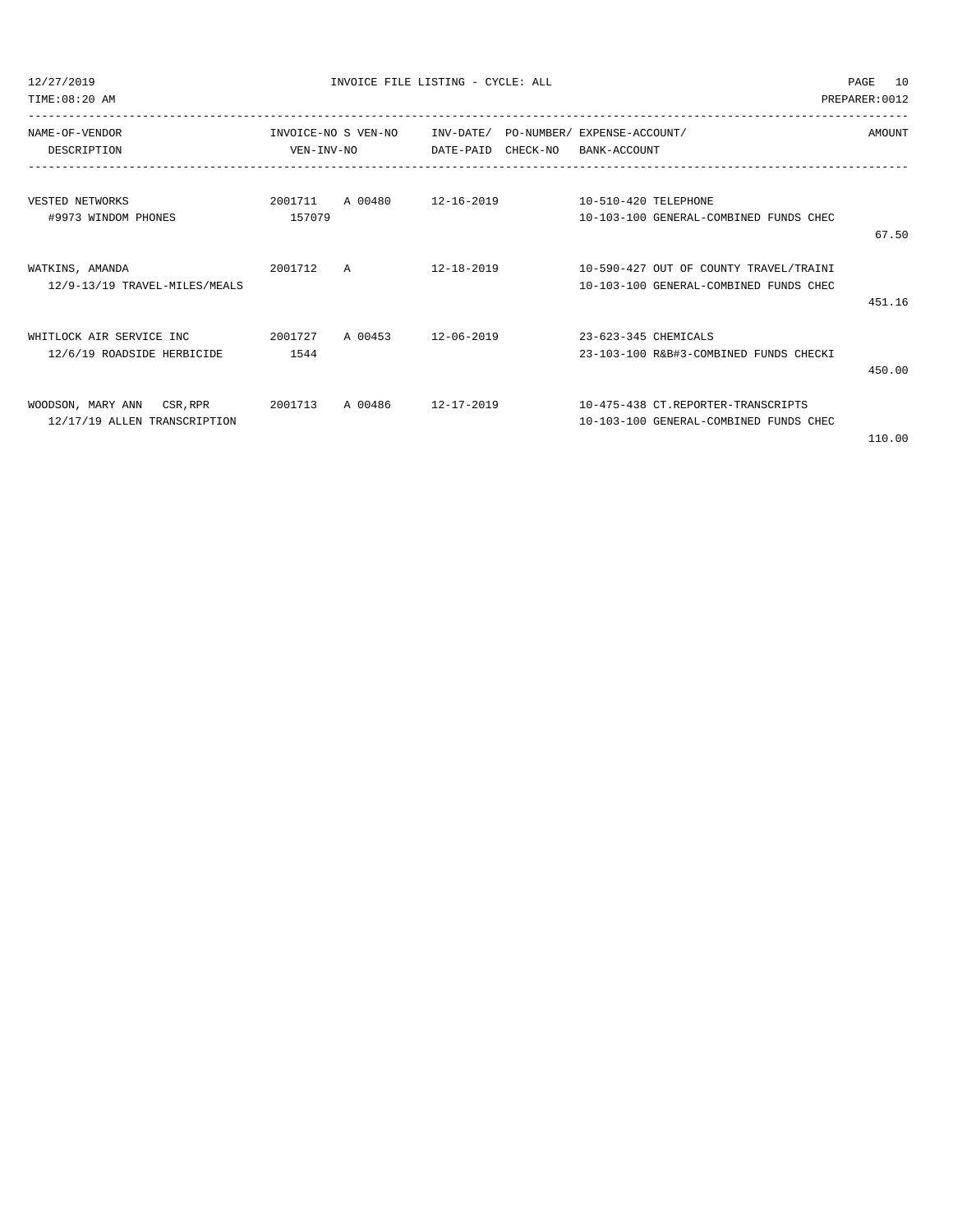TIME:08:20 AM PREPARER:0012

| NAME-OF-VENDOR<br>DESCRIPTION | VEN-INV-NO | INVOICE-NO S VEN-NO                             | INV-DATE/ PO-NUMBER/ EXPENSE-ACCOUNT/<br>DATE-PAID CHECK-NO | BANK-ACCOUNT           |                                                       | AMOUNT |
|-------------------------------|------------|-------------------------------------------------|-------------------------------------------------------------|------------------------|-------------------------------------------------------|--------|
|                               |            |                                                 |                                                             |                        |                                                       |        |
|                               |            |                                                 |                                                             |                        |                                                       |        |
| VESTED NETWORKS               |            | 2001711 A 00480 12-16-2019 10-510-420 TELEPHONE |                                                             |                        |                                                       |        |
| #9973 WINDOM PHONES           | 157079     |                                                 |                                                             |                        | 10-103-100 GENERAL-COMBINED FUNDS CHEC                |        |
|                               |            |                                                 |                                                             |                        |                                                       | 67.50  |
|                               |            |                                                 |                                                             |                        |                                                       |        |
| WATKINS, AMANDA               | 2001712 A  |                                                 |                                                             |                        | $12-18-2019$ $10-590-427$ OUT OF COUNTY TRAVEL/TRAINI |        |
| 12/9-13/19 TRAVEL-MILES/MEALS |            |                                                 |                                                             |                        | 10-103-100 GENERAL-COMBINED FUNDS CHEC                |        |
|                               |            |                                                 |                                                             |                        |                                                       | 451.16 |
|                               |            |                                                 |                                                             |                        |                                                       |        |
| WHITLOCK AIR SERVICE INC      | 2001727    | A 00453 12-06-2019                              |                                                             | $23-623-345$ CHEMICALS |                                                       |        |
| 12/6/19 ROADSIDE HERBICIDE    | 1544       |                                                 |                                                             |                        | 23-103-100 R&B#3-COMBINED FUNDS CHECKI                |        |
|                               |            |                                                 |                                                             |                        |                                                       | 450.00 |
|                               |            |                                                 |                                                             |                        |                                                       |        |
| WOODSON, MARY ANN CSR, RPR    | 2001713    | A 00486                                         | 12-17-2019                                                  |                        | 10-475-438 CT.REPORTER-TRANSCRIPTS                    |        |
| 12/17/19 ALLEN TRANSCRIPTION  |            |                                                 |                                                             |                        | 10-103-100 GENERAL-COMBINED FUNDS CHEC                |        |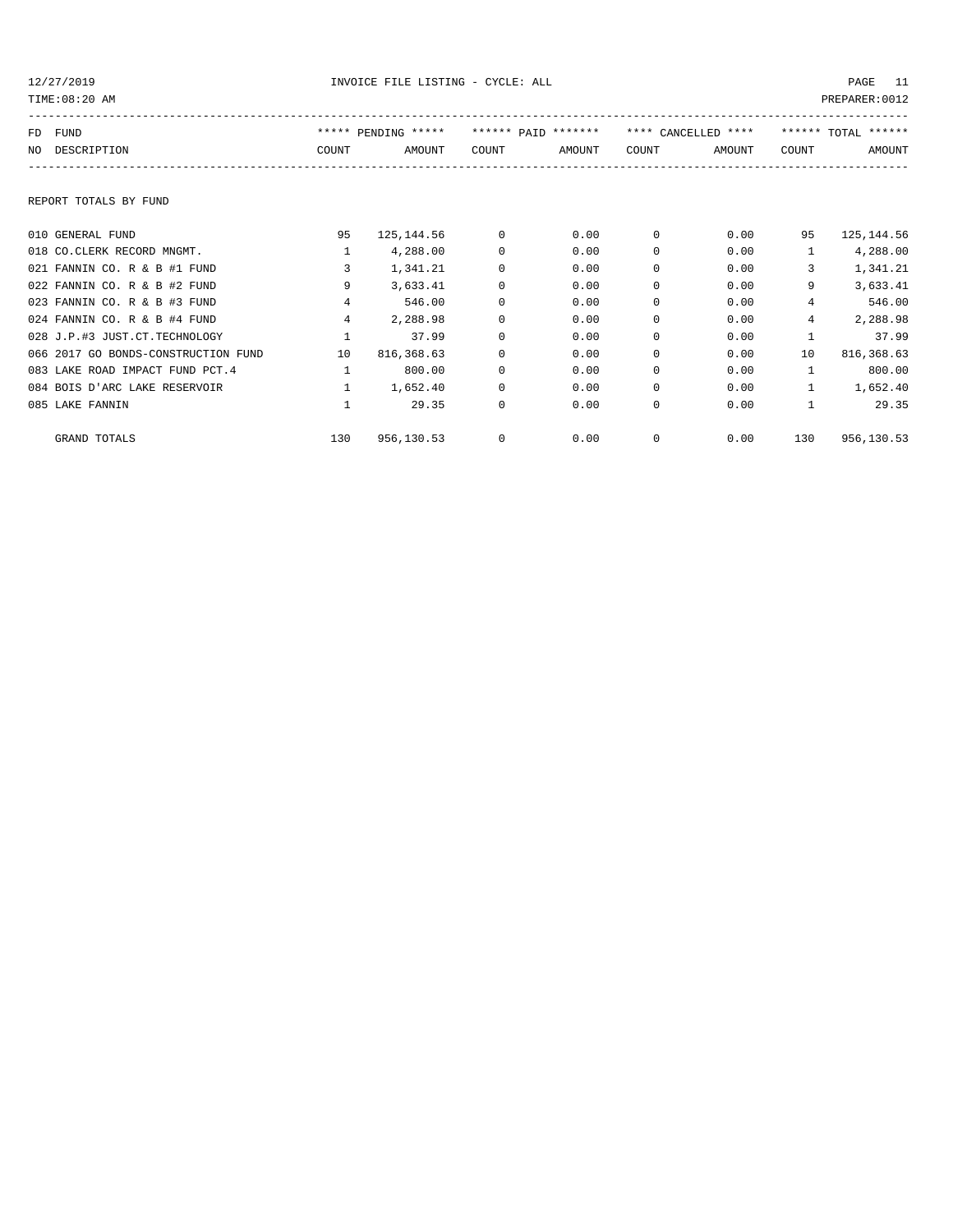|    | TIME:08:20 AM<br>PREPARER: 0012     |              |                     |          |                     |          |                     |              |                     |
|----|-------------------------------------|--------------|---------------------|----------|---------------------|----------|---------------------|--------------|---------------------|
| FD | FUND                                |              | ***** PENDING ***** |          | ****** PAID ******* |          | **** CANCELLED **** |              | ****** TOTAL ****** |
| NO | DESCRIPTION                         | COUNT        | AMOUNT              | COUNT    | AMOUNT              | COUNT    | AMOUNT              | COUNT        | AMOUNT              |
|    | REPORT TOTALS BY FUND               |              |                     |          |                     |          |                     |              |                     |
|    | 010 GENERAL FUND                    | 95           | 125, 144.56         | 0        | 0.00                | 0        | 0.00                | 95           | 125, 144.56         |
|    | 018 CO.CLERK RECORD MNGMT.          | $\mathbf{1}$ | 4,288.00            | $\Omega$ | 0.00                | $\Omega$ | 0.00                | $\mathbf{1}$ | 4,288.00            |
|    | 021 FANNIN CO. R & B #1 FUND        | 3            | 1,341.21            | 0        | 0.00                | 0        | 0.00                | 3            | 1,341.21            |
|    | 022 FANNIN CO. R & B #2 FUND        | 9            | 3,633.41            | 0        | 0.00                | 0        | 0.00                | 9            | 3,633.41            |
|    | 023 FANNIN CO. R & B #3 FUND        | 4            | 546.00              | 0        | 0.00                | 0        | 0.00                | 4            | 546.00              |
|    | 024 FANNIN CO. R & B #4 FUND        | 4            | 2,288.98            | $\Omega$ | 0.00                | $\Omega$ | 0.00                | 4            | 2,288.98            |
|    | 028 J.P.#3 JUST.CT.TECHNOLOGY       |              | 37.99               | 0        | 0.00                | $\Omega$ | 0.00                |              | 37.99               |
|    | 066 2017 GO BONDS-CONSTRUCTION FUND | 10           | 816, 368.63         | $\Omega$ | 0.00                | 0        | 0.00                | 10           | 816,368.63          |
|    | 083 LAKE ROAD IMPACT FUND PCT. 4    | $\mathbf{1}$ | 800.00              | 0        | 0.00                | $\Omega$ | 0.00                | $\mathbf{1}$ | 800.00              |
|    | 084 BOIS D'ARC LAKE RESERVOIR       | $\mathbf{1}$ | 1,652.40            | 0        | 0.00                | $\Omega$ | 0.00                | $\mathbf{1}$ | 1,652.40            |
|    | 085 LAKE FANNIN                     |              | 29.35               | 0        | 0.00                | 0        | 0.00                |              | 29.35               |
|    | GRAND TOTALS                        | 130          | 956,130.53          | 0        | 0.00                | 0        | 0.00                | 130          | 956,130.53          |